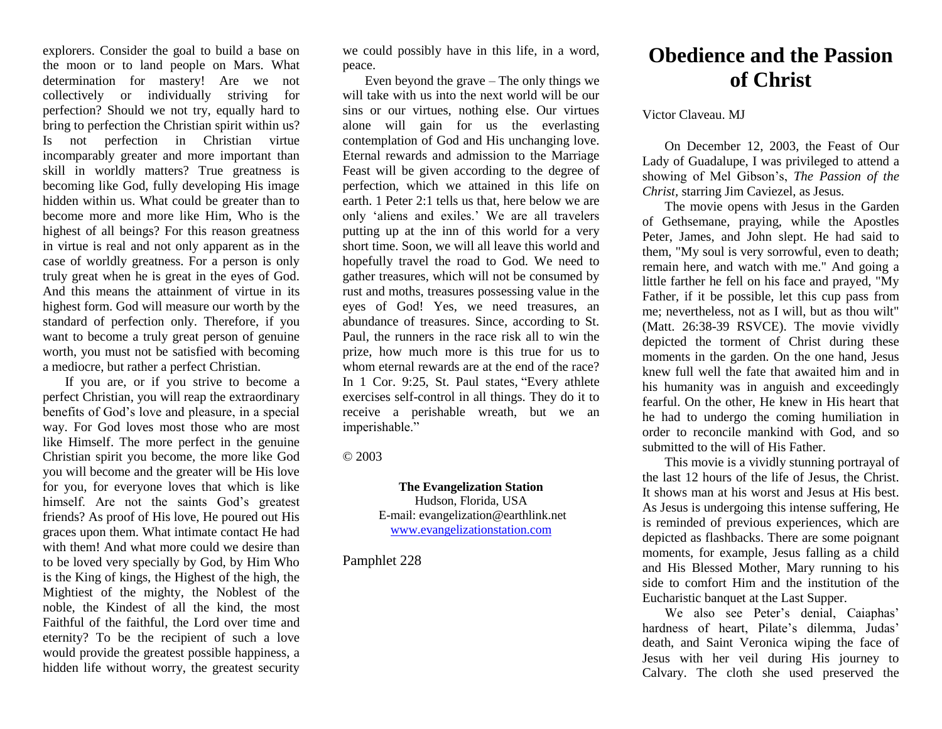explorers. Consider the goal to build a base on the moon or to land people on Mars. What determination for mastery! Are we not collectively or individually striving for perfection? Should we not try, equally hard to bring to perfection the Christian spirit within us? Is not perfection in Christian virtue incomparably greater and more important than skill in worldly matters? True greatness is becoming like God, fully developing His image hidden within us. What could be greater than to become more and more like Him, Who is the highest of all beings? For this reason greatness in virtue is real and not only apparent as in the case of worldly greatness. For a person is only truly great when he is great in the eyes of God. And this means the attainment of virtue in its highest form. God will measure our worth by the standard of perfection only. Therefore, if you want to become a truly great person of genuine worth, you must not be satisfied with becoming a mediocre, but rather a perfect Christian.

If you are, or if you strive to become a perfect Christian, you will reap the extraordinary benefits of God's love and pleasure, in a special way. For God loves most those who are most like Himself. The more perfect in the genuine Christian spirit you become, the more like God you will become and the greater will be His love for you, for everyone loves that which is like himself. Are not the saints God's greatest friends? As proof of His love, He poured out His graces upon them. What intimate contact He had with them! And what more could we desire than to be loved very specially by God, by Him Who is the King of kings, the Highest of the high, the Mightiest of the mighty, the Noblest of the noble, the Kindest of all the kind, the most Faithful of the faithful, the Lord over time and eternity? To be the recipient of such a love would provide the greatest possible happiness, a hidden life without worry, the greatest security

we could possibly have in this life, in a word, peace.

Even beyond the grave – The only things we will take with us into the next world will be our sins or our virtues, nothing else. Our virtues alone will gain for us the everlasting contemplation of God and His unchanging love. Eternal rewards and admission to the Marriage Feast will be given according to the degree of perfection, which we attained in this life on earth. 1 Peter 2:1 tells us that, here below we are only 'aliens and exiles.' We are all travelers putting up at the inn of this world for a very short time. Soon, we will all leave this world and hopefully travel the road to God. We need to gather treasures, which will not be consumed by rust and moths, treasures possessing value in the eyes of God! Yes, we need treasures, an abundance of treasures. Since, according to St. Paul, the runners in the race risk all to win the prize, how much more is this true for us to whom eternal rewards are at the end of the race? In 1 Cor. 9:25, St. Paul states, "Every athlete exercises self-control in all things. They do it to receive a perishable wreath, but we an imperishable."

© 2003

## **The Evangelization Station**

Hudson, Florida, USA E-mail: evangelization@earthlink.net [www.evangelizationstation.com](http://www.pjpiisoe.org/)

Pamphlet 228

## **Obedience and the Passion of Christ**

Victor Claveau. MJ

On December 12, 2003, the Feast of Our Lady of Guadalupe, I was privileged to attend a showing of Mel Gibson's, *The Passion of the Christ,* starring Jim Caviezel, as Jesus*.*

The movie opens with Jesus in the Garden of Gethsemane, praying, while the Apostles Peter, James, and John slept. He had said to them, "My soul is very sorrowful, even to death; remain here, and watch with me." And going a little farther he fell on his face and prayed, "My Father, if it be possible, let this cup pass from me; nevertheless, not as I will, but as thou wilt" (Matt. 26:38-39 RSVCE). The movie vividly depicted the torment of Christ during these moments in the garden. On the one hand, Jesus knew full well the fate that awaited him and in his humanity was in anguish and exceedingly fearful. On the other, He knew in His heart that he had to undergo the coming humiliation in order to reconcile mankind with God, and so submitted to the will of His Father.

This movie is a vividly stunning portrayal of the last 12 hours of the life of Jesus, the Christ. It shows man at his worst and Jesus at His best. As Jesus is undergoing this intense suffering, He is reminded of previous experiences, which are depicted as flashbacks. There are some poignant moments, for example, Jesus falling as a child and His Blessed Mother, Mary running to his side to comfort Him and the institution of the Eucharistic banquet at the Last Supper.

We also see Peter's denial, Caiaphas' hardness of heart, Pilate's dilemma, Judas' death, and Saint Veronica wiping the face of Jesus with her veil during His journey to Calvary. The cloth she used preserved the